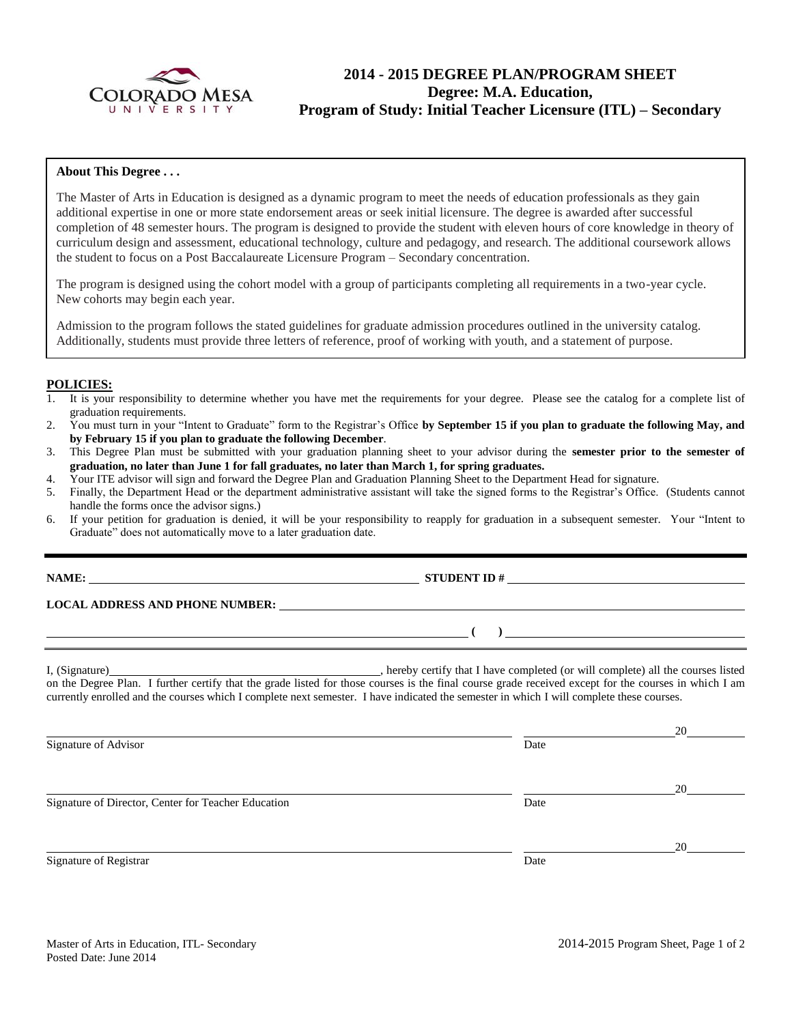

# **2014 - 2015 DEGREE PLAN/PROGRAM SHEET Degree: M.A. Education, Program of Study: Initial Teacher Licensure (ITL) – Secondary**

#### **About This Degree . . .**

The Master of Arts in Education is designed as a dynamic program to meet the needs of education professionals as they gain additional expertise in one or more state endorsement areas or seek initial licensure. The degree is awarded after successful completion of 48 semester hours. The program is designed to provide the student with eleven hours of core knowledge in theory of curriculum design and assessment, educational technology, culture and pedagogy, and research. The additional coursework allows the student to focus on a Post Baccalaureate Licensure Program – Secondary concentration.

The program is designed using the cohort model with a group of participants completing all requirements in a two-year cycle. New cohorts may begin each year.

Admission to the program follows the stated guidelines for graduate admission procedures outlined in the university catalog. Additionally, students must provide three letters of reference, proof of working with youth, and a statement of purpose.

#### **POLICIES:**

- 1. It is your responsibility to determine whether you have met the requirements for your degree. Please see the catalog for a complete list of graduation requirements.
- 2. You must turn in your "Intent to Graduate" form to the Registrar's Office **by September 15 if you plan to graduate the following May, and by February 15 if you plan to graduate the following December**.
- 3. This Degree Plan must be submitted with your graduation planning sheet to your advisor during the **semester prior to the semester of graduation, no later than June 1 for fall graduates, no later than March 1, for spring graduates.**
- 4. Your ITE advisor will sign and forward the Degree Plan and Graduation Planning Sheet to the Department Head for signature.
- 5. Finally, the Department Head or the department administrative assistant will take the signed forms to the Registrar's Office. (Students cannot handle the forms once the advisor signs.)
- 6. If your petition for graduation is denied, it will be your responsibility to reapply for graduation in a subsequent semester. Your "Intent to Graduate" does not automatically move to a later graduation date.

**STUDENT ID**  $#$ 

**LOCAL ADDRESS AND PHONE NUMBER:**

I, (Signature) , hereby certify that I have completed (or will complete) all the courses listed on the Degree Plan. I further certify that the grade listed for those courses is the final course grade received except for the courses in which I am currently enrolled and the courses which I complete next semester. I have indicated the semester in which I will complete these courses.

 20 Signature of Advisor Date 20 Signature of Director, Center for Teacher Education Date 20 Signature of Registrar Date and Security and Security and Security and Security and Security and Security and Security and Security and Security and Security and Security and Security and Security and Security and Security

**( )**